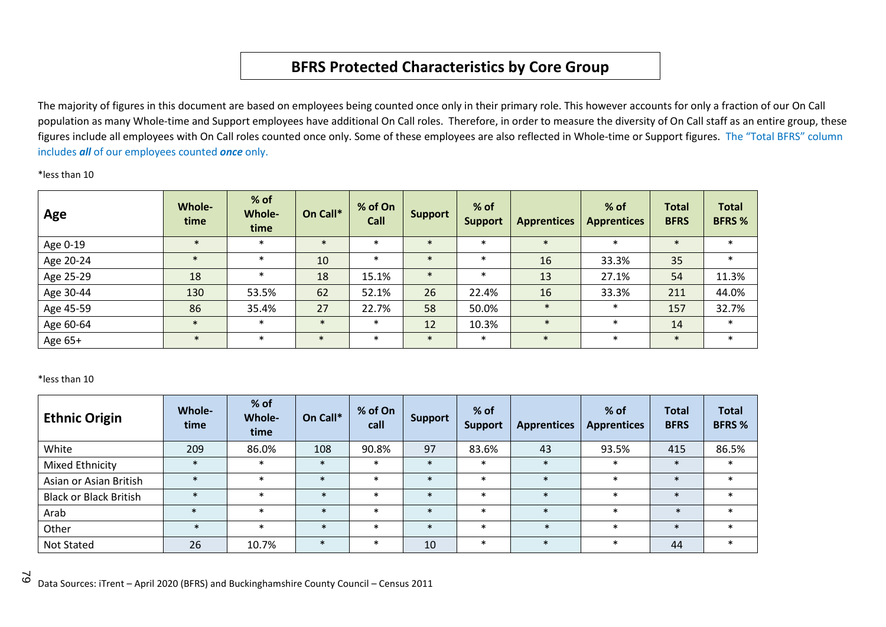#### **BFRS Protected Characteristics by Core Group**

The majority of figures in this document are based on employees being counted once only in their primary role. This however accounts for only a fraction of our On Call population as many Whole-time and Support employees have additional On Call roles. Therefore, in order to measure the diversity of On Call staff as an entire group, these figures include all employees with On Call roles counted once only. Some of these employees are also reflected in Whole-time or Support figures. The "Total BFRS" column includes *all* of our employees counted *once* only.

#### \*less than 10

| Age       | Whole-<br>time | % of<br><b>Whole-</b><br>time | On Call*        | % of On<br>Call | <b>Support</b> | % of<br><b>Support</b> | <b>Apprentices</b> | % of<br><b>Apprentices</b> | <b>Total</b><br><b>BFRS</b> | <b>Total</b><br><b>BFRS %</b> |
|-----------|----------------|-------------------------------|-----------------|-----------------|----------------|------------------------|--------------------|----------------------------|-----------------------------|-------------------------------|
| Age 0-19  | $\ast$         | $\ast$                        | $\ast$          | $\ast$          | $\ast$         | $\ast$                 | $\ast$             | $\ast$                     | $\ast$                      | $\ast$                        |
| Age 20-24 | $\ast$         | $\ast$                        | 10 <sup>°</sup> | $\ast$          | $\ast$         | $\ast$                 | 16                 | 33.3%                      | 35                          | $\ast$                        |
| Age 25-29 | 18             | $\ast$                        | 18              | 15.1%           | $\ast$         | $\ast$                 | 13                 | 27.1%                      | 54                          | 11.3%                         |
| Age 30-44 | 130            | 53.5%                         | 62              | 52.1%           | 26             | 22.4%                  | 16                 | 33.3%                      | 211                         | 44.0%                         |
| Age 45-59 | 86             | 35.4%                         | 27              | 22.7%           | 58             | 50.0%                  | $\ast$             | $\ast$                     | 157                         | 32.7%                         |
| Age 60-64 | $\ast$         | $\ast$                        | $\ast$          | $\ast$          | 12             | 10.3%                  | $*$                | $\ast$                     | 14                          | $\ast$                        |
| Age 65+   | $\ast$         | $\ast$                        | $\ast$          | $\ast$          | $\ast$         | $\ast$                 | $\ast$             | $\ast$                     | $\ast$                      | $\ast$                        |

#### \*less than 10

| <b>Ethnic Origin</b>          | <b>Whole-</b><br>time | % of<br><b>Whole-</b><br>time | On Call* | % of On<br>call | <b>Support</b> | % of<br><b>Support</b> | <b>Apprentices</b> | % of<br><b>Apprentices</b> | <b>Total</b><br><b>BFRS</b> | <b>Total</b><br><b>BFRS %</b> |
|-------------------------------|-----------------------|-------------------------------|----------|-----------------|----------------|------------------------|--------------------|----------------------------|-----------------------------|-------------------------------|
| White                         | 209                   | 86.0%                         | 108      | 90.8%           | 97             | 83.6%                  | 43                 | 93.5%                      | 415                         | 86.5%                         |
| Mixed Ethnicity               | $\ast$                | $\ast$                        | $\ast$   | $\ast$          | $\ast$         | $\ast$                 | $\ast$             | $\ast$                     | $\ast$                      | $\ast$                        |
| Asian or Asian British        | $\ast$                | $\ast$                        | $\ast$   | $\ast$          | $\ast$         | $\ast$                 | $\ast$             | $\ast$                     | $\ast$                      | $\ast$                        |
| <b>Black or Black British</b> | $\ast$                | $\ast$                        | $\ast$   | $\ast$          | $\ast$         | $\ast$                 | $\ast$             | $\ast$                     | $\ast$                      | $\ast$                        |
| Arab                          | $\ast$                | $\ast$                        | $\ast$   | $\ast$          | $\ast$         | $\ast$                 | $\ast$             | $\ast$                     | $\ast$                      | $\ast$                        |
| Other                         | $\ast$                | $\ast$                        | $\ast$   | $\ast$          | $\ast$         | $\ast$                 | $\ast$             | $\ast$                     | $\ast$                      | $\ast$                        |
| <b>Not Stated</b>             | 26                    | 10.7%                         | $\ast$   | $\ast$          | 10             | $\ast$                 | $\ast$             | $\ast$                     | 44                          | $\ast$                        |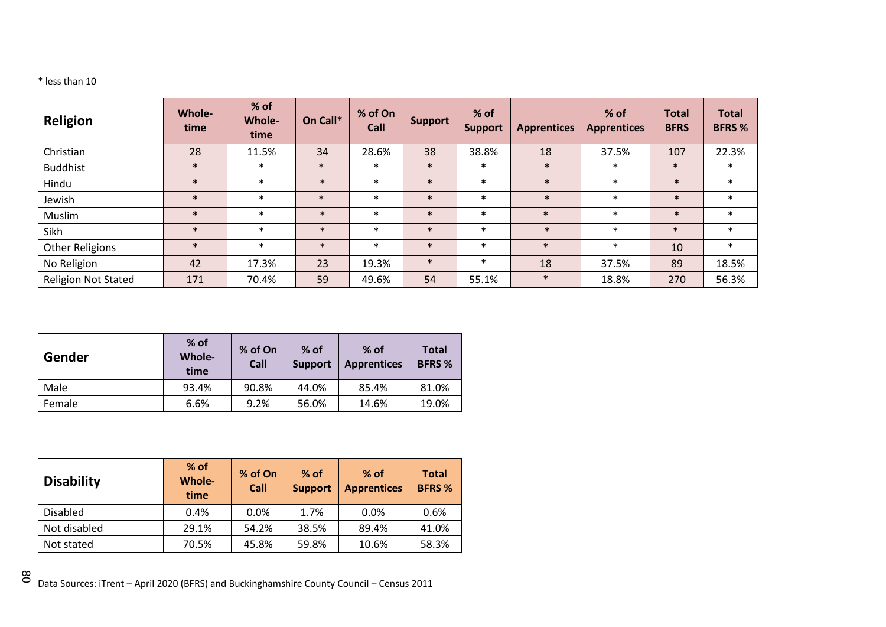#### \* less than 10

| <b>Religion</b>            | <b>Whole-</b><br>time | % of<br><b>Whole-</b><br>time | On Call* | % of On<br>Call | <b>Support</b> | % of<br><b>Support</b> | <b>Apprentices</b> | % of<br><b>Apprentices</b> | <b>Total</b><br><b>BFRS</b> | <b>Total</b><br><b>BFRS %</b> |
|----------------------------|-----------------------|-------------------------------|----------|-----------------|----------------|------------------------|--------------------|----------------------------|-----------------------------|-------------------------------|
| Christian                  | 28                    | 11.5%                         | 34       | 28.6%           | 38             | 38.8%                  | 18                 | 37.5%                      | 107                         | 22.3%                         |
| <b>Buddhist</b>            | $\ast$                | $\ast$                        | $\ast$   | $\ast$          | $\ast$         | $\ast$                 | $\ast$             | $\ast$                     | $\ast$                      | $\ast$                        |
| Hindu                      | $\ast$                | $\ast$                        | $\ast$   | $\ast$          | $\ast$         | $\ast$                 | $\ast$             | $\ast$                     | $\ast$                      | $\ast$                        |
| Jewish                     | $\ast$                | $\ast$                        | $\ast$   | $\ast$          | $\ast$         | $\ast$                 | $\ast$             | $\ast$                     | $\ast$                      | $\ast$                        |
| Muslim                     | $\ast$                | $\ast$                        | $\ast$   | $\ast$          | $\ast$         | $\ast$                 | $\ast$             | $\ast$                     | $\ast$                      | $\ast$                        |
| Sikh                       | $\ast$                | $\ast$                        | $\ast$   | $\ast$          | $\ast$         | $\ast$                 | $\ast$             | $\ast$                     | $\ast$                      | $\ast$                        |
| <b>Other Religions</b>     | $\ast$                | $\ast$                        | $\ast$   | $\ast$          | $\ast$         | $\ast$                 | $\ast$             | $\ast$                     | 10                          | $\ast$                        |
| No Religion                | 42                    | 17.3%                         | 23       | 19.3%           | $\ast$         | $\ast$                 | 18                 | 37.5%                      | 89                          | 18.5%                         |
| <b>Religion Not Stated</b> | 171                   | 70.4%                         | 59       | 49.6%           | 54             | 55.1%                  | $\ast$             | 18.8%                      | 270                         | 56.3%                         |

| Gender | $%$ of<br>Whole-<br>time | % of On<br>Call | $%$ of<br><b>Support</b> | $%$ of<br><b>Apprentices</b> | <b>Total</b><br><b>BFRS%</b> |  |
|--------|--------------------------|-----------------|--------------------------|------------------------------|------------------------------|--|
| Male   | 93.4%                    | 90.8%           | 44.0%                    | 85.4%                        | 81.0%                        |  |
| Female | 6.6%                     | 9.2%            | 56.0%                    | 14.6%                        | 19.0%                        |  |

| <b>Disability</b> | $%$ of<br><b>Whole-</b><br>time | % of On<br>Call | $%$ of<br><b>Support</b> | $%$ of<br><b>Apprentices</b> | <b>Total</b><br><b>BFRS %</b> |
|-------------------|---------------------------------|-----------------|--------------------------|------------------------------|-------------------------------|
| <b>Disabled</b>   | 0.4%                            | 0.0%            | 1.7%                     | 0.0%                         | 0.6%                          |
| Not disabled      | 29.1%                           | 54.2%           | 38.5%                    | 89.4%                        | 41.0%                         |
| Not stated        | 70.5%                           | 45.8%           | 59.8%                    | 10.6%                        | 58.3%                         |

∞<br>○ Data Sources: iTrent — April 2020 (BFRS) and Buckinghamshire County Council — Census 2011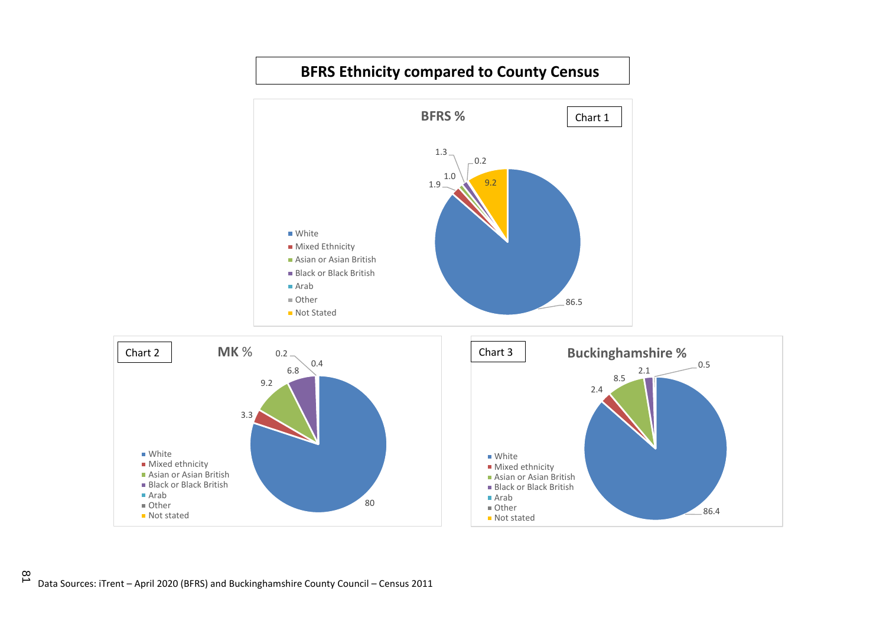#### **BFRS Ethnicity compared to County Census**

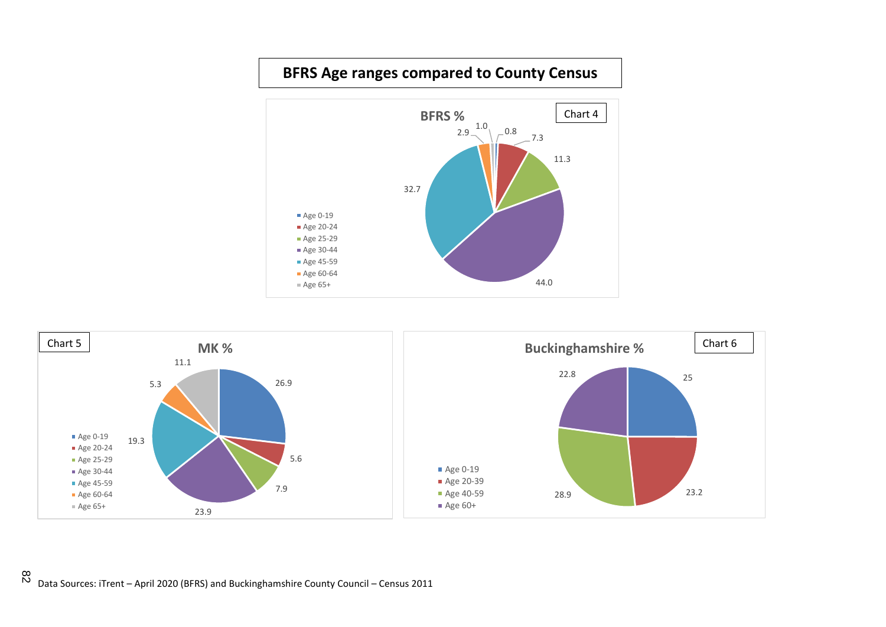### **BFRS Age ranges compared to County Census**



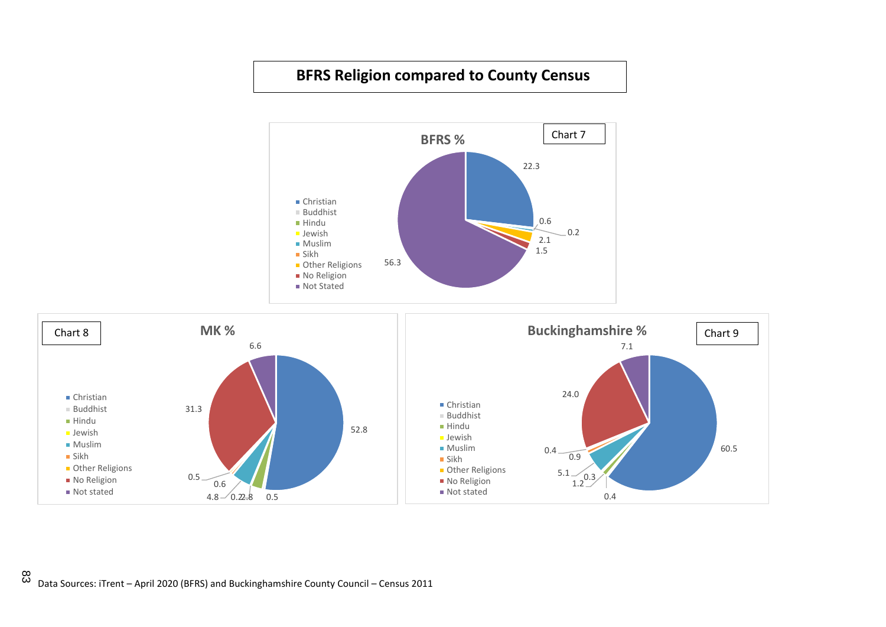#### **BFRS Religion compared to County Census**



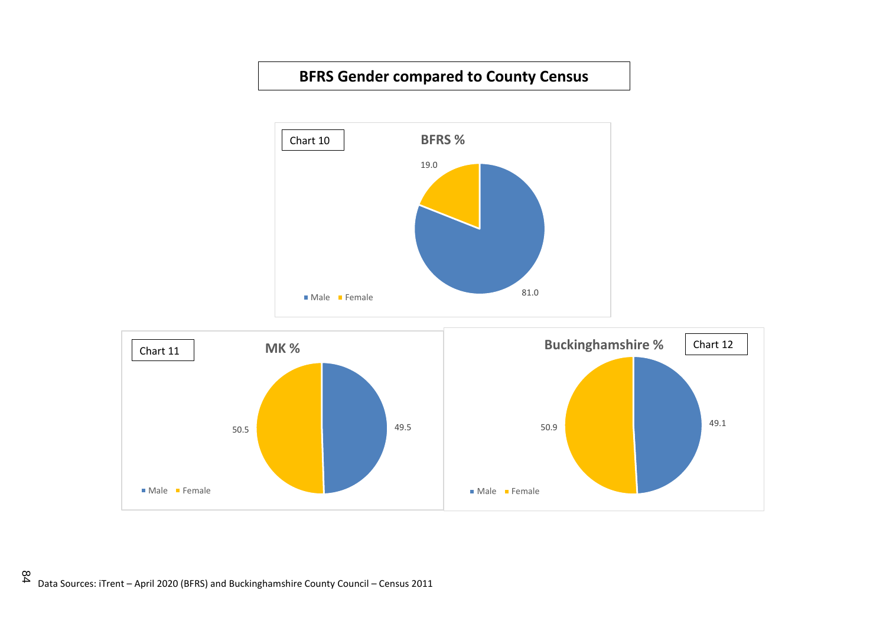# **BFRS Gender compared to County Census**



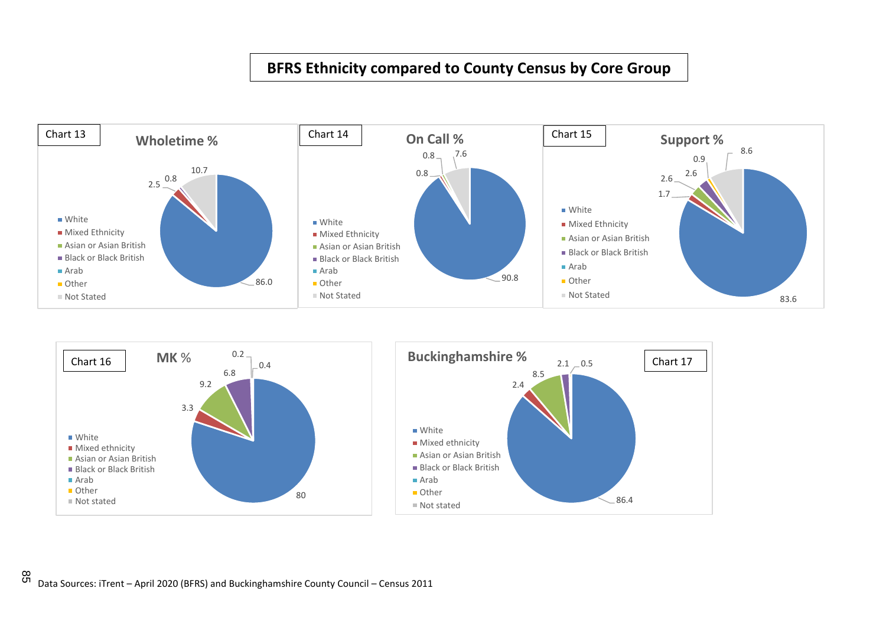#### **BFRS Ethnicity compared to County Census by Core Group**



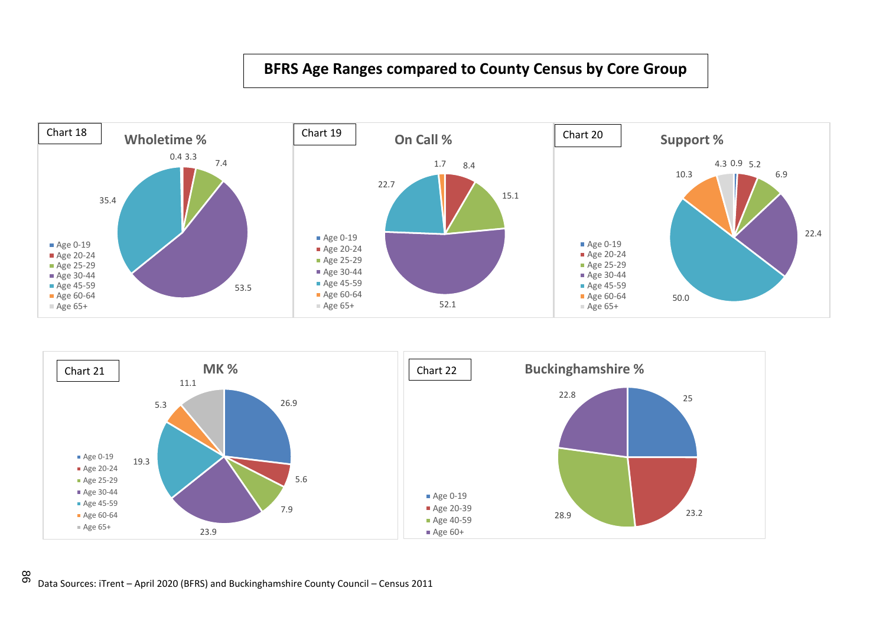#### **BFRS Age Ranges compared to County Census by Core Group**





Data Sources: iTrent – April 2020 (BFRS) and Buckinghamshire County Council – Census 2011 86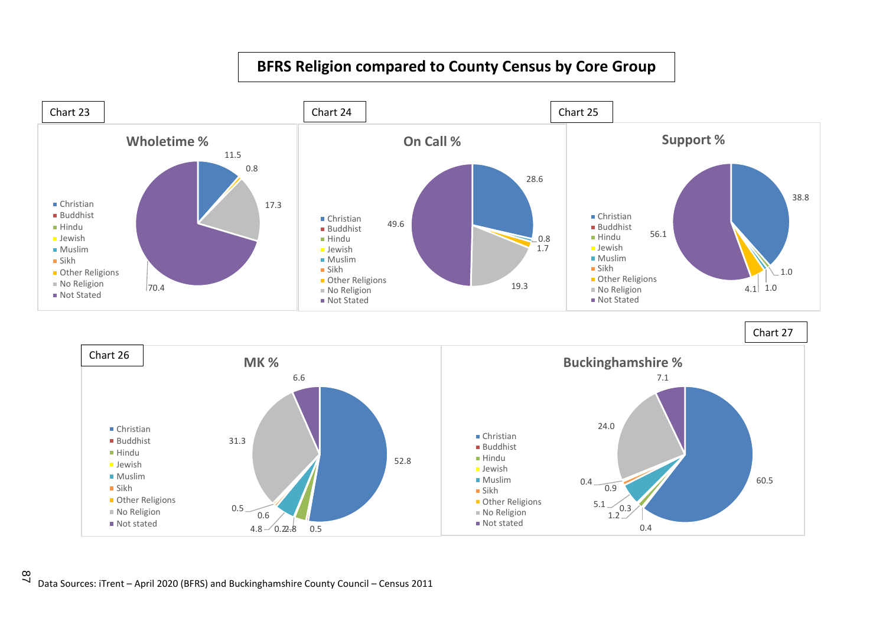## **BFRS Religion compared to County Census by Core Group**